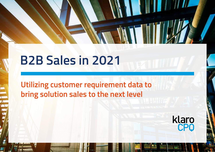## **B2B Sales in 2021**

**Utilizing customer requirement data to bring solution sales to the next level** 

klaro<br>CPO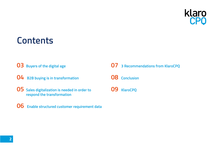

## **Contents**

- **Buyers of the digital age**
- **04 B2B buying is in transformation**
- **Sales digitalization is needed in order to respond the transformation**
- **Enable structured customer requirement data**
- **3 Recommendations from KlaroCPQ**
- **Conclusion**
- **KlaroCPQ**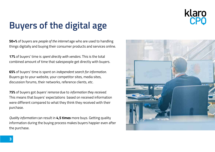# klaro

## **Buyers of the digital age**

**50+%** of buyers are *people of the internet* age who are used to handling things digitally and buying their consumer products and services online.

**17%** of buyers' time is *spent directly with vendors*. This is the total combined amount of time that salespeople get directly with buyers.

**65%** of buyers' time is spent on *independent search for information*. Buyers go to your website, your competitor sites, media sites, discussion forums, their networks, reference clients, etc.

**75%** of buyers got *buyers' remorse* due to *information they received*. This means that buyers' expectations based on received information were different compared to what they think they received with their purchase.

*Quality information* can result in **4,5 times** more buys. Getting quality information during the buying process makes buyers happier even after the purchase.

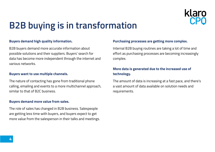

## **B2B buying is in transformation**

#### **Buyers demand high quality information.**

B2B buyers demand more accurate information about possible solutions and their suppliers. Buyers' search for data has become more independent through the internet and various networks.

#### **Buyers want to use multiple channels.**

The nature of contacting has gone from traditional phone calling, emailing and events to a more multichannel approach, similar to that of B2C business.

#### **Buyers demand more value from sales.**

The role of sales has changed in B2B business. Salespeople are getting less time with buyers, and buyers expect to get more value from the salesperson in their talks and meetings.

#### **Purchasing processes are getting more complex.**

Internal B2B buying routines are taking a lot of time and effort as purchasing processes are becoming increasingly complex.

### **More data is generated due to the increased use of technology.**

The amount of data is increasing at a fast pace, and there's a vast amount of data available on solution needs and requirements.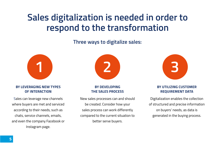## **Sales digitalization is needed in order to respond to the transformation**

**Three ways to digitalize sales:**



#### **BY LEVERAGING NEW TYPES OF INTERACTION**

Sales can leverage new channels where buyers are met and serviced according to their needs, such as chats, service channels, emails, and even the company Facebook or Instagram page.



#### **BY DEVELOPING THE SALES PROCESS**

New sales processes can and should be created. Consider how your sales process can work differently compared to the current situation to better serve buyers.



#### **BY UTILIZING CUSTOMER REQUIREMENT DATA**

Digitalization enables the collection of structured and precise information on buyers' needs, as data is generated in the buying process.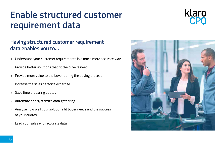## **Enable structured customer requirement data**



## **Having structured customer requirement data enables you to…**

- » Understand your customer requirements in a much more accurate way
- » Provide better solutions that fit the buyer's need
- » Provide more value to the buyer during the buying process
- » Increase the sales person's expertise
- » Save time preparing quotes
- » Automate and systemize data gathering
- » Analyze how well your solutions fit buyer needs and the success of your quotes
- » Lead your sales with accurate data

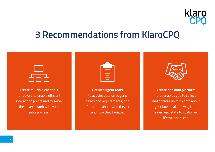## klaro

## **3 Recommendations from KlaroCPQ**



**Create multiple channels** for buyers to enable efficient interaction points and to serve the buyer's work with your sales process.



**Get intelligent tools** to acquire data on buyer's needs and requirements, and information about who they are and how they behave.

**Create one data platform** that enables you to collect and analyze uniform data about your buyers all the way from sales lead state to customer lifecycle services.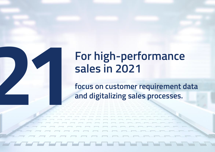# **21 2021**<br>**21 Extending Soles in 2021**<br>**21 Extending Soles processes.**<br>**21 Extending Soles processes. sales in 2021**

**focus on customer requirement data and digitalizing sales processes.**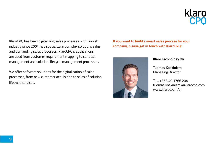KlaroCPQ has been digitalizing sales processes with Finnish industry since 2004. We specialize in complex solutions sales and demanding sales processes. KlaroCPQ's applications are used from customer requirement mapping to contract management and solution lifecycle management processes.

We offer software solutions for the digitalization of sales processes, from new customer acquisition to sales of solution lifecycle services.

**If you want to build a smart sales process for your company, please get in touch with KlaroCPQ!**



**Klaro Technology Oy** 

**Tuomas Koskiniemi** Managing Director

Tel.. +358 40 1766 204 tuomas.koskiniemi@klarocpq.com www.klarocpq.fi/en